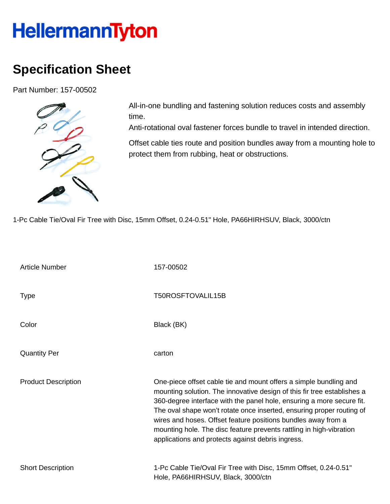## HellermannTyton

## **Specification Sheet**

Part Number: 157-00502



All-in-one bundling and fastening solution reduces costs and assembly time.

Anti-rotational oval fastener forces bundle to travel in intended direction.

Offset cable ties route and position bundles away from a mounting hole to protect them from rubbing, heat or obstructions.

1-Pc Cable Tie/Oval Fir Tree with Disc, 15mm Offset, 0.24-0.51" Hole, PA66HIRHSUV, Black, 3000/ctn

| <b>Article Number</b>      | 157-00502                                                                                                                                                                                                                                                                                                                                                                                                                                                                                   |
|----------------------------|---------------------------------------------------------------------------------------------------------------------------------------------------------------------------------------------------------------------------------------------------------------------------------------------------------------------------------------------------------------------------------------------------------------------------------------------------------------------------------------------|
| <b>Type</b>                | T50ROSFTOVALIL15B                                                                                                                                                                                                                                                                                                                                                                                                                                                                           |
| Color                      | Black (BK)                                                                                                                                                                                                                                                                                                                                                                                                                                                                                  |
| <b>Quantity Per</b>        | carton                                                                                                                                                                                                                                                                                                                                                                                                                                                                                      |
| <b>Product Description</b> | One-piece offset cable tie and mount offers a simple bundling and<br>mounting solution. The innovative design of this fir tree establishes a<br>360-degree interface with the panel hole, ensuring a more secure fit.<br>The oval shape won't rotate once inserted, ensuring proper routing of<br>wires and hoses. Offset feature positions bundles away from a<br>mounting hole. The disc feature prevents rattling in high-vibration<br>applications and protects against debris ingress. |
| <b>Short Description</b>   | 1-Pc Cable Tie/Oval Fir Tree with Disc, 15mm Offset, 0.24-0.51"<br>Hole, PA66HIRHSUV, Black, 3000/ctn                                                                                                                                                                                                                                                                                                                                                                                       |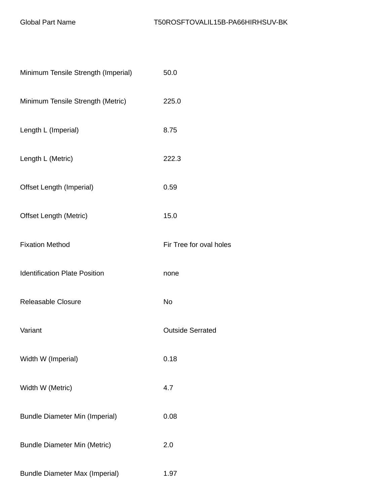| Minimum Tensile Strength (Imperial)   | 50.0                    |
|---------------------------------------|-------------------------|
| Minimum Tensile Strength (Metric)     | 225.0                   |
| Length L (Imperial)                   | 8.75                    |
| Length L (Metric)                     | 222.3                   |
| Offset Length (Imperial)              | 0.59                    |
| <b>Offset Length (Metric)</b>         | 15.0                    |
| <b>Fixation Method</b>                | Fir Tree for oval holes |
| <b>Identification Plate Position</b>  | none                    |
| <b>Releasable Closure</b>             | <b>No</b>               |
| Variant                               | <b>Outside Serrated</b> |
| Width W (Imperial)                    | 0.18                    |
| Width W (Metric)                      | 4.7                     |
| <b>Bundle Diameter Min (Imperial)</b> | 0.08                    |
| <b>Bundle Diameter Min (Metric)</b>   | 2.0                     |
| <b>Bundle Diameter Max (Imperial)</b> | 1.97                    |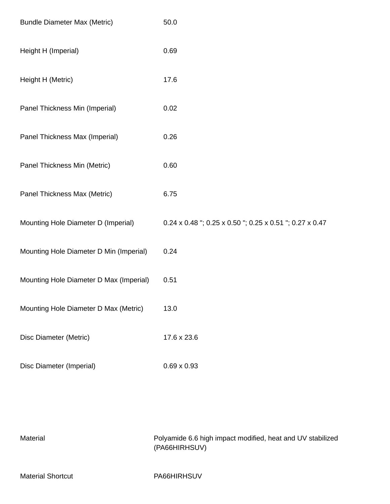| <b>Bundle Diameter Max (Metric)</b>     | 50.0                                                  |
|-----------------------------------------|-------------------------------------------------------|
| Height H (Imperial)                     | 0.69                                                  |
| Height H (Metric)                       | 17.6                                                  |
| Panel Thickness Min (Imperial)          | 0.02                                                  |
| Panel Thickness Max (Imperial)          | 0.26                                                  |
| Panel Thickness Min (Metric)            | 0.60                                                  |
| Panel Thickness Max (Metric)            | 6.75                                                  |
| Mounting Hole Diameter D (Imperial)     | 0.24 x 0.48"; 0.25 x 0.50"; 0.25 x 0.51"; 0.27 x 0.47 |
| Mounting Hole Diameter D Min (Imperial) | 0.24                                                  |
| Mounting Hole Diameter D Max (Imperial) | 0.51                                                  |
| Mounting Hole Diameter D Max (Metric)   | 13.0                                                  |
| Disc Diameter (Metric)                  | 17.6 x 23.6                                           |
| Disc Diameter (Imperial)                | $0.69 \times 0.93$                                    |

| Material                 | Polyamide 6.6 high impact modified, heat and UV stabilized<br>(PA66HIRHSUV) |
|--------------------------|-----------------------------------------------------------------------------|
| <b>Material Shortcut</b> | PA66HIRHSUV                                                                 |